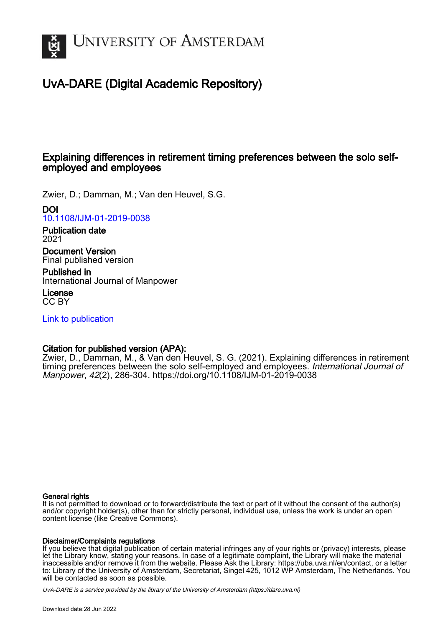

# UvA-DARE (Digital Academic Repository)

# Explaining differences in retirement timing preferences between the solo selfemployed and employees

Zwier, D.; Damman, M.; Van den Heuvel, S.G.

# DOI

[10.1108/IJM-01-2019-0038](https://doi.org/10.1108/IJM-01-2019-0038)

Publication date 2021

Document Version Final published version

Published in International Journal of Manpower

License CC BY

[Link to publication](https://dare.uva.nl/personal/pure/en/publications/explaining-differences-in-retirement-timing-preferences-between-the-solo-selfemployed-and-employees(a0415e26-0ad5-414d-845f-faf8753c23ee).html)

# Citation for published version (APA):

Zwier, D., Damman, M., & Van den Heuvel, S. G. (2021). Explaining differences in retirement timing preferences between the solo self-employed and employees. International Journal of Manpower, 42(2), 286-304. <https://doi.org/10.1108/IJM-01-2019-0038>

## General rights

It is not permitted to download or to forward/distribute the text or part of it without the consent of the author(s) and/or copyright holder(s), other than for strictly personal, individual use, unless the work is under an open content license (like Creative Commons).

## Disclaimer/Complaints regulations

If you believe that digital publication of certain material infringes any of your rights or (privacy) interests, please let the Library know, stating your reasons. In case of a legitimate complaint, the Library will make the material inaccessible and/or remove it from the website. Please Ask the Library: https://uba.uva.nl/en/contact, or a letter to: Library of the University of Amsterdam, Secretariat, Singel 425, 1012 WP Amsterdam, The Netherlands. You will be contacted as soon as possible.

UvA-DARE is a service provided by the library of the University of Amsterdam (http*s*://dare.uva.nl)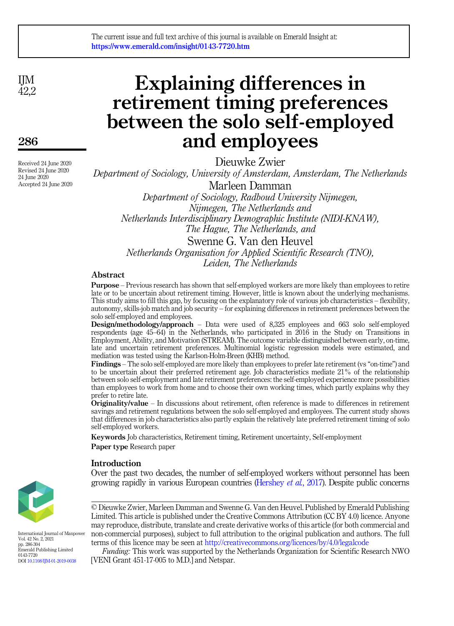IJM 42.2

286

Received 24 June 2020 Revised 24 June 2020 24 June 2020 Accepted 24 June 2020

# Explaining differences in retirement timing preferences between the solo self-employed and employees

Dieuwke Zwier

Department of Sociology, University of Amsterdam, Amsterdam, The Netherlands Marleen Damman Department of Sociology, Radboud University Nijmegen,

Nijmegen, The Netherlands and Netherlands Interdisciplinary Demographic Institute (NIDI-KNAW), The Hague, The Netherlands, and

Swenne G. Van den Heuvel Netherlands Organisation for Applied Scientific Research (TNO), Leiden, The Netherlands

# Abstract

Purpose – Previous research has shown that self-employed workers are more likely than employees to retire late or to be uncertain about retirement timing. However, little is known about the underlying mechanisms. This study aims to fill this gap, by focusing on the explanatory role of various job characteristics – flexibility, autonomy, skills-job match and job security – for explaining differences in retirement preferences between the solo self-employed and employees.

Design/methodology/approach – Data were used of 8,325 employees and 663 solo self-employed respondents (age 45–64) in the Netherlands, who participated in 2016 in the Study on Transitions in Employment, Ability, and Motivation (STREAM). The outcome variable distinguished between early, on-time, late and uncertain retirement preferences. Multinomial logistic regression models were estimated, and mediation was tested using the Karlson-Holm-Breen (KHB) method.

Findings – The solo self-employed are more likely than employees to prefer late retirement (vs "on-time") and to be uncertain about their preferred retirement age. Job characteristics mediate 21% of the relationship between solo self-employment and late retirement preferences: the self-employed experience more possibilities than employees to work from home and to choose their own working times, which partly explains why they prefer to retire late.

Originality/value – In discussions about retirement, often reference is made to differences in retirement savings and retirement regulations between the solo self-employed and employees. The current study shows that differences in job characteristics also partly explain the relatively late preferred retirement timing of solo self-employed workers.

Keywords Job characteristics, Retirement timing, Retirement uncertainty, Self-employment Paper type Research paper

## Introduction

Over the past two decades, the number of self-employed workers without personnel has been growing rapidly in various European countries ([Hershey](#page-16-0) et al., 2017). Despite public concerns



International Journal of Manpower Vol. 42 No. 2, 2021 pp. 286-304 Emerald Publishing Limited 0143-7720 DOI [10.1108/IJM-01-2019-0038](https://doi.org/10.1108/IJM-01-2019-0038)

© Dieuwke Zwier, Marleen Damman and Swenne G. Van den Heuvel. Published by Emerald Publishing Limited. This article is published under the Creative Commons Attribution (CC BY 4.0) licence. Anyone may reproduce, distribute, translate and create derivative works of this article (for both commercial and non-commercial purposes), subject to full attribution to the original publication and authors. The full terms of this licence may be seen at <http://creativecommons.org/licences/by/4.0/legalcode>

Funding: This work was supported by the Netherlands Organization for Scientific Research NWO [VENI Grant 451-17-005 to M.D.] and Netspar.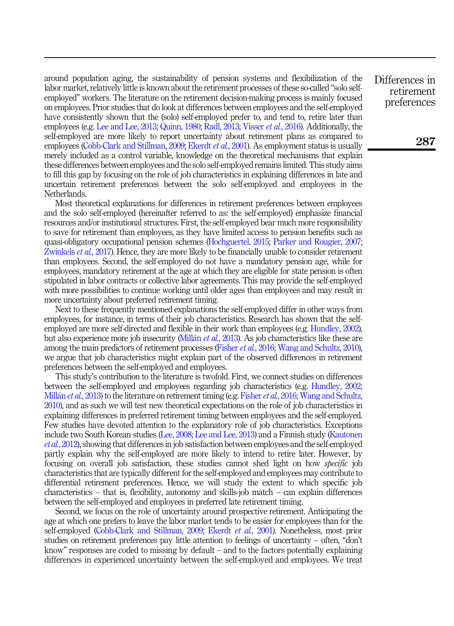around population aging, the sustainability of pension systems and flexibilization of the labor market, relatively little is known about the retirement processes of these so-called "solo selfemployed" workers. The literature on the retirement decision-making process is mainly focused on employees. Prior studies that do look at differences between employees and the self-employed have consistently shown that the (solo) self-employed prefer to, and tend to, retire later than employees (e.g. [Lee and Lee, 2013](#page-16-1); [Quinn, 1980;](#page-17-0) [Radl, 2013;](#page-17-1) [Visser](#page-17-2) *et al.*, 2016). Additionally, the self-employed are more likely to report uncertainty about retirement plans as compared to employees ([Cobb-Clark and Stillman, 2009;](#page-15-0) [Ekerdt](#page-16-2) et al., 2001). As employment status is usually merely included as a control variable, knowledge on the theoretical mechanisms that explain these differences between employees and the solo self-employed remains limited. This study aims to fill this gap by focusing on the role of job characteristics in explaining differences in late and uncertain retirement preferences between the solo self-employed and employees in the Netherlands.

Most theoretical explanations for differences in retirement preferences between employees and the solo self-employed (hereinafter referred to as: the self-employed) emphasize financial resources and/or institutional structures. First, the self-employed bear much more responsibility to save for retirement than employees, as they have limited access to pension benefits such as quasi-obligatory occupational pension schemes ([Hochguertel, 2015](#page-16-3); [Parker and Rougier, 2007](#page-17-3); [Zwinkels](#page-17-4) et al., 2017). Hence, they are more likely to be financially unable to consider retirement than employees. Second, the self-employed do not have a mandatory pension age, while for employees, mandatory retirement at the age at which they are eligible for state pension is often stipulated in labor contracts or collective labor agreements. This may provide the self-employed with more possibilities to continue working until older ages than employees and may result in more uncertainty about preferred retirement timing.

Next to these frequently mentioned explanations the self-employed differ in other ways from employees, for instance, in terms of their job characteristics. Research has shown that the selfemployed are more self-directed and flexible in their work than employees (e.g. [Hundley, 2002\)](#page-16-4), but also experience more job insecurity [\(Mill](#page-17-5)án et al.[, 2013\)](#page-17-5). As job characteristics like these are among the main predictors of retirement processes [\(Fisher](#page-16-5) *et al.*, 2016; [Wang and Schultz, 2010\)](#page-17-6), we argue that job characteristics might explain part of the observed differences in retirement preferences between the self-employed and employees.

This study's contribution to the literature is twofold. First, we connect studies on differences between the self-employed and employees regarding job characteristics (e.g. [Hundley, 2002](#page-16-4); [Mill](#page-17-5)án *et al.*[, 2013](#page-17-5)) to the literature on retirement timing (e.g. [Fisher](#page-16-5) *et al.*, 2016; [Wang and Schultz,](#page-17-6) [2010](#page-17-6)), and as such we will test new theoretical expectations on the role of job characteristics in explaining differences in preferred retirement timing between employees and the self-employed. Few studies have devoted attention to the explanatory role of job characteristics. Exceptions include two South Korean studies ([Lee, 2008](#page-16-6); [Lee and Lee, 2013\)](#page-16-1) and a Finnish study [\(Kautonen](#page-16-7) et al.[, 2012](#page-16-7)), showing that differences in job satisfaction between employees and the self-employed partly explain why the self-employed are more likely to intend to retire later. However, by focusing on overall job satisfaction, these studies cannot shed light on how specific job characteristics that are typically different for the self-employed and employees may contribute to differential retirement preferences. Hence, we will study the extent to which specific job characteristics – that is, flexibility, autonomy and skills-job match – can explain differences between the self-employed and employees in preferred late retirement timing.

Second, we focus on the role of uncertainty around prospective retirement. Anticipating the age at which one prefers to leave the labor market tends to be easier for employees than for the self-employed [\(Cobb-Clark and Stillman, 2009](#page-15-0); [Ekerdt](#page-16-2) et al., 2001). Nonetheless, most prior studies on retirement preferences pay little attention to feelings of uncertainty – often, "don't know" responses are coded to missing by default – and to the factors potentially explaining differences in experienced uncertainty between the self-employed and employees. We treat

Differences in retirement preferences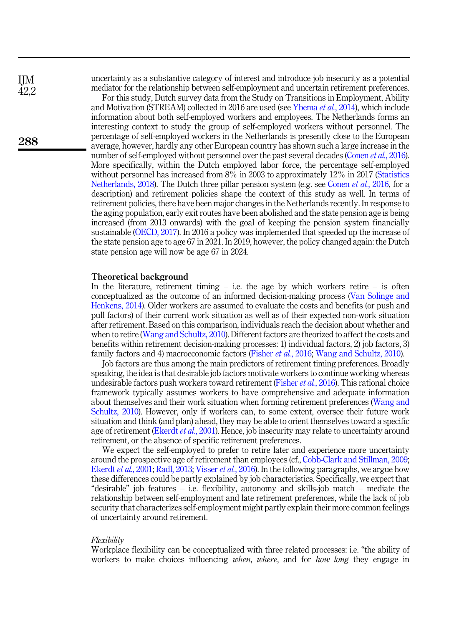uncertainty as a substantive category of interest and introduce job insecurity as a potential mediator for the relationship between self-employment and uncertain retirement preferences.

For this study, Dutch survey data from the Study on Transitions in Employment, Ability and Motivation (STREAM) collected in 2016 are used (see [Ybema](#page-17-7) et al., 2014), which include information about both self-employed workers and employees. The Netherlands forms an interesting context to study the group of self-employed workers without personnel. The percentage of self-employed workers in the Netherlands is presently close to the European average, however, hardly any other European country has shown such a large increase in the number of self-employed without personnel over the past several decades [\(Conen](#page-16-8) et al., 2016). More specifically, within the Dutch employed labor force, the percentage self-employed without personnel has increased from 8% in 2003 to approximately 12% in 2017 [\(Statistics](#page-17-8) [Netherlands, 2018\)](#page-17-8). The Dutch three pillar pension system (e.g. see [Conen](#page-16-8) *et al.*, 2016, for a description) and retirement policies shape the context of this study as well. In terms of retirement policies, there have been major changes in the Netherlands recently. In response to the aging population, early exit routes have been abolished and the state pension age is being increased (from 2013 onwards) with the goal of keeping the pension system financially sustainable ([OECD, 2017\)](#page-17-9). In 2016 a policy was implemented that speeded up the increase of the state pension age to age 67 in 2021. In 2019, however, the policy changed again: the Dutch state pension age will now be age 67 in 2024.

#### Theoretical background

In the literature, retirement timing  $-$  i.e. the age by which workers retire  $-$  is often conceptualized as the outcome of an informed decision-making process ([Van Solinge and](#page-17-10) [Henkens, 2014](#page-17-10)). Older workers are assumed to evaluate the costs and benefits (or push and pull factors) of their current work situation as well as of their expected non-work situation after retirement. Based on this comparison, individuals reach the decision about whether and when to retire ([Wang and Schultz, 2010\)](#page-17-6). Different factors are theorized to affect the costs and benefits within retirement decision-making processes: 1) individual factors, 2) job factors, 3) family factors and 4) macroeconomic factors ([Fisher](#page-16-5) et al., 2016; [Wang and Schultz, 2010\)](#page-17-6).

Job factors are thus among the main predictors of retirement timing preferences. Broadly speaking, the idea is that desirable job factors motivate workers to continue working whereas undesirable factors push workers toward retirement ([Fisher](#page-16-5) *et al.*, 2016). This rational choice framework typically assumes workers to have comprehensive and adequate information about themselves and their work situation when forming retirement preferences [\(Wang and](#page-17-6) [Schultz, 2010\)](#page-17-6). However, only if workers can, to some extent, oversee their future work situation and think (and plan) ahead, they may be able to orient themselves toward a specific age of retirement ([Ekerdt](#page-16-2) *et al.*, 2001). Hence, job insecurity may relate to uncertainty around retirement, or the absence of specific retirement preferences.

We expect the self-employed to prefer to retire later and experience more uncertainty around the prospective age of retirement than employees (cf., [Cobb-Clark and Stillman, 2009](#page-15-0); [Ekerdt](#page-16-2) et al., 2001; [Radl, 2013;](#page-17-1) [Visser](#page-17-2) et al., 2016). In the following paragraphs, we argue how these differences could be partly explained by job characteristics. Specifically, we expect that "desirable" job features – i.e. flexibility, autonomy and skills-job match – mediate the relationship between self-employment and late retirement preferences, while the lack of job security that characterizes self-employment might partly explain their more common feelings of uncertainty around retirement.

#### Flexibility

Workplace flexibility can be conceptualized with three related processes: i.e. "the ability of workers to make choices influencing *when, where*, and for *how long* they engage in

288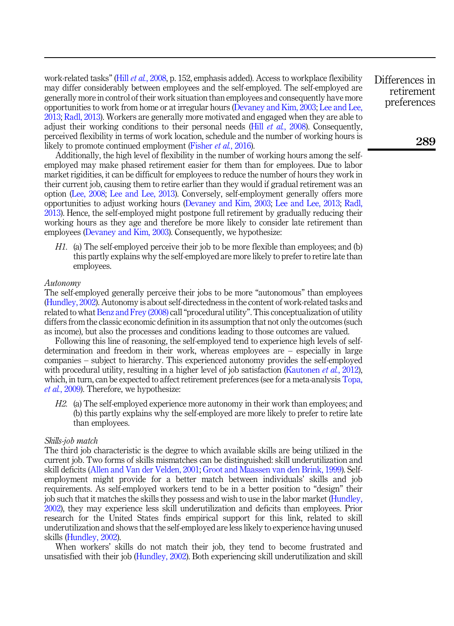work-related tasks" (Hill *et al.*[, 2008,](#page-16-9) p. 152, emphasis added). Access to workplace flexibility may differ considerably between employees and the self-employed. The self-employed are generally more in control of their work situation than employees and consequently have more opportunities to work from home or at irregular hours [\(Devaney and Kim, 2003;](#page-16-10) [Lee and Lee,](#page-16-1) [2013;](#page-16-1) [Radl, 2013](#page-17-1)). Workers are generally more motivated and engaged when they are able to adjust their working conditions to their personal needs (Hill  $et$  al.[, 2008](#page-16-9)). Consequently, perceived flexibility in terms of work location, schedule and the number of working hours is likely to promote continued employment ([Fisher](#page-16-5) et al., 2016).

Additionally, the high level of flexibility in the number of working hours among the selfemployed may make phased retirement easier for them than for employees. Due to labor market rigidities, it can be difficult for employees to reduce the number of hours they work in their current job, causing them to retire earlier than they would if gradual retirement was an option ([Lee, 2008](#page-16-6); [Lee and Lee, 2013](#page-16-1)). Conversely, self-employment generally offers more opportunities to adjust working hours [\(Devaney and Kim, 2003](#page-16-10); [Lee and Lee, 2013](#page-16-1); [Radl,](#page-17-1) [2013\)](#page-17-1). Hence, the self-employed might postpone full retirement by gradually reducing their working hours as they age and therefore be more likely to consider late retirement than employees ([Devaney and Kim, 2003](#page-16-10)). Consequently, we hypothesize:

<span id="page-4-0"></span>H1. (a) The self-employed perceive their job to be more flexible than employees; and (b) this partly explains why the self-employed are more likely to prefer to retire late than employees.

#### Autonomy

The self-employed generally perceive their jobs to be more "autonomous" than employees ([Hundley, 2002](#page-16-4)). Autonomy is about self-directedness in the content of work-related tasks and related to what [Benz and Frey \(2008\)](#page-15-1) call "procedural utility". This conceptualization of utility differs from the classic economic definition in its assumption that not only the outcomes (such as income), but also the processes and conditions leading to those outcomes are valued.

Following this line of reasoning, the self-employed tend to experience high levels of selfdetermination and freedom in their work, whereas employees are – especially in large companies – subject to hierarchy. This experienced autonomy provides the self-employed with procedural utility, resulting in a higher level of job satisfaction ([Kautonen](#page-16-7) *et al.*, 2012), which, in turn, can be expected to affect retirement preferences (see for a meta-analysis [Topa,](#page-17-11) et al.[, 2009\)](#page-17-11). Therefore, we hypothesize:

<span id="page-4-1"></span>H2. (a) The self-employed experience more autonomy in their work than employees; and (b) this partly explains why the self-employed are more likely to prefer to retire late than employees.

#### Skills-job match

The third job characteristic is the degree to which available skills are being utilized in the current job. Two forms of skills mismatches can be distinguished: skill underutilization and skill deficits ([Allen and Van der Velden, 2001;](#page-15-2) [Groot and Maassen van den Brink, 1999](#page-16-11)). Selfemployment might provide for a better match between individuals' skills and job requirements. As self-employed workers tend to be in a better position to "design" their job such that it matches the skills they possess and wish to use in the labor market ([Hundley,](#page-16-4) [2002\)](#page-16-4), they may experience less skill underutilization and deficits than employees. Prior research for the United States finds empirical support for this link, related to skill underutilization and shows that the self-employed are less likely to experience having unused skills ([Hundley, 2002](#page-16-4)).

When workers' skills do not match their job, they tend to become frustrated and unsatisfied with their job [\(Hundley, 2002](#page-16-4)). Both experiencing skill underutilization and skill

Differences in retirement preferences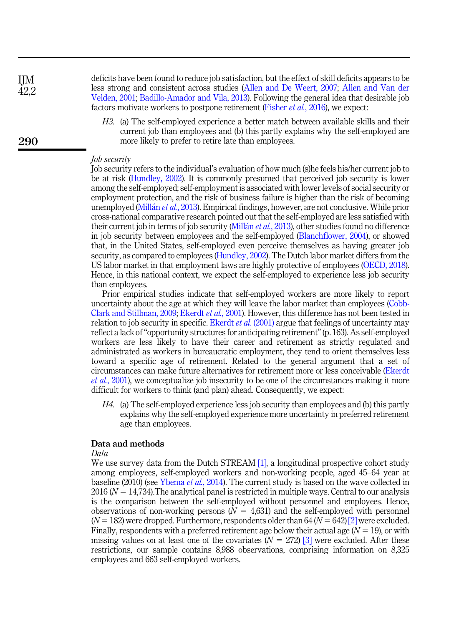deficits have been found to reduce job satisfaction, but the effect of skill deficits appears to be less strong and consistent across studies [\(Allen and De Weert, 2007;](#page-15-3) [Allen and Van der](#page-15-2) [Velden, 2001;](#page-15-2) [Badillo-Amador and Vila, 2013](#page-15-4)). Following the general idea that desirable job factors motivate workers to postpone retirement ([Fisher](#page-16-5) *et al.*, 2016), we expect:

<span id="page-5-0"></span>H3. (a) The self-employed experience a better match between available skills and their current job than employees and (b) this partly explains why the self-employed are more likely to prefer to retire late than employees.

#### Job security

Job security refers to the individual's evaluation of how much (s)he feels his/her current job to be at risk [\(Hundley, 2002\)](#page-16-4). It is commonly presumed that perceived job security is lower among the self-employed; self-employment is associated with lower levels of social security or employment protection, and the risk of business failure is higher than the risk of becoming unemployed [\(Mill](#page-17-5)án *et al.*[, 2013](#page-17-5)). Empirical findings, however, are not conclusive. While prior cross-national comparative research pointed out that the self-employed are less satisfied with their current job in terms of job security ([Mill](#page-17-5)an *et al.*[, 2013](#page-17-5)), other studies found no difference in job security between employees and the self-employed ([Blanchflower, 2004\)](#page-15-5), or showed that, in the United States, self-employed even perceive themselves as having greater job security, as compared to employees ([Hundley, 2002](#page-16-4)). The Dutch labor market differs from the US labor market in that employment laws are highly protective of employees ([OECD, 2018\)](#page-17-12). Hence, in this national context, we expect the self-employed to experience less job security than employees.

Prior empirical studies indicate that self-employed workers are more likely to report uncertainty about the age at which they will leave the labor market than employees ([Cobb-](#page-15-0)[Clark and Stillman, 2009;](#page-15-0) [Ekerdt](#page-16-2) et al., 2001). However, this difference has not been tested in relation to job security in specific. [Ekerdt](#page-16-2) *et al.* (2001) argue that feelings of uncertainty may reflect a lack of"opportunity structures for anticipating retirement"(p. 163). As self-employed workers are less likely to have their career and retirement as strictly regulated and administrated as workers in bureaucratic employment, they tend to orient themselves less toward a specific age of retirement. Related to the general argument that a set of circumstances can make future alternatives for retirement more or less conceivable ([Ekerdt](#page-16-2) et al.[, 2001](#page-16-2)), we conceptualize job insecurity to be one of the circumstances making it more difficult for workers to think (and plan) ahead. Consequently, we expect:

<span id="page-5-1"></span>H4. (a) The self-employed experience less job security than employees and (b) this partly explains why the self-employed experience more uncertainty in preferred retirement age than employees.

#### Data and methods

#### Data

We use survey data from the Dutch STREAM [\[1\]](#page-15-6), a longitudinal prospective cohort study among employees, self-employed workers and non-working people, aged 45–64 year at baseline (2010) (see [Ybema](#page-17-7) *et al.*, 2014). The current study is based on the wave collected in  $2016 (N = 14,734)$ . The analytical panel is restricted in multiple ways. Central to our analysis is the comparison between the self-employed without personnel and employees. Hence, observations of non-working persons  $(N = 4,631)$  and the self-employed with personnel  $(N = 182)$  were dropped. Furthermore, respondents older than 64 ( $N = 642$ ) [\[2\]](#page-15-7) were excluded. Finally, respondents with a preferred retirement age below their actual age  $(N = 19)$ , or with missing values on at least one of the covariates  $(N = 272)$  [\[3\]](#page-15-8) were excluded. After these restrictions, our sample contains 8,988 observations, comprising information on 8,325 employees and 663 self-employed workers.

290

IJM 42,2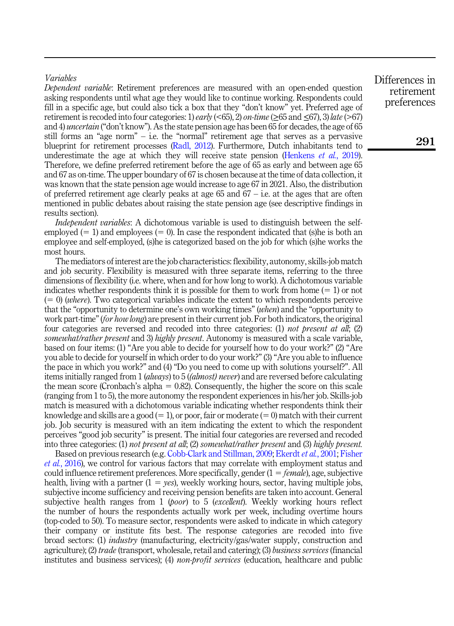### Variables

Dependent variable: Retirement preferences are measured with an open-ended question asking respondents until what age they would like to continue working. Respondents could fill in a specific age, but could also tick a box that they "don't know" yet. Preferred age of retirement is recoded into four categories: 1) early (<65), 2) on-time ( $\geq$ 65 and  $\leq$ 67), 3) late (>67) and 4) *uncertain* ("don't know"). As the state pension age has been 65 for decades, the age of 65 still forms an "age norm" – i.e. the "normal" retirement age that serves as a pervasive blueprint for retirement processes ([Radl, 2012](#page-17-13)). Furthermore, Dutch inhabitants tend to underestimate the age at which they will receive state pension [\(Henkens](#page-16-12) *et al.*, 2019). Therefore, we define preferred retirement before the age of 65 as early and between age 65 and 67 as on-time. The upper boundary of 67 is chosen because at the time of data collection, it was known that the state pension age would increase to age 67 in 2021. Also, the distribution of preferred retirement age clearly peaks at age 65 and  $67 - i.e.$  at the ages that are often mentioned in public debates about raising the state pension age (see descriptive findings in results section).

Independent variables: A dichotomous variable is used to distinguish between the selfemployed  $(= 1)$  and employees  $(= 0)$ . In case the respondent indicated that (s)he is both an employee and self-employed, (s)he is categorized based on the job for which (s)he works the most hours.

The mediators of interest are the job characteristics: flexibility, autonomy, skills-job match and job security. Flexibility is measured with three separate items, referring to the three dimensions of flexibility (i.e. where, when and for how long to work). A dichotomous variable indicates whether respondents think it is possible for them to work from home  $(= 1)$  or not  $(60)$  (where). Two categorical variables indicate the extent to which respondents perceive that the "opportunity to determine one's own working times" (when) and the "opportunity to work part-time" (for how long) are present in their current job. For both indicators, the original four categories are reversed and recoded into three categories: (1) not present at all; (2) somewhat/rather present and 3) highly present. Autonomy is measured with a scale variable, based on four items: (1) "Are you able to decide for yourself how to do your work?" (2) "Are you able to decide for yourself in which order to do your work?" (3) "Are you able to influence the pace in which you work?" and (4) "Do you need to come up with solutions yourself?". All items initially ranged from 1 *(always)* to 5 *((almost) never*) and are reversed before calculating the mean score (Cronbach's alpha  $= 0.82$ ). Consequently, the higher the score on this scale (ranging from 1 to 5), the more autonomy the respondent experiences in his/her job. Skills-job match is measured with a dichotomous variable indicating whether respondents think their knowledge and skills are a good  $(= 1)$ , or poor, fair or moderate  $(= 0)$  match with their current job. Job security is measured with an item indicating the extent to which the respondent perceives "good job security" is present. The initial four categories are reversed and recoded into three categories: (1) not present at all; (2) somewhat/rather present and (3) highly present.

Based on previous research (e.g. [Cobb-Clark and Stillman, 2009](#page-15-0); [Ekerdt](#page-16-2) et al., 2001; [Fisher](#page-16-5) et al.[, 2016](#page-16-5)), we control for various factors that may correlate with employment status and could influence retirement preferences. More specifically, gender  $(1 = female)$ , age, subjective health, living with a partner  $(1 = yes)$ , weekly working hours, sector, having multiple jobs, subjective income sufficiency and receiving pension benefits are taken into account. General subjective health ranges from 1 (*boor*) to 5 (*excellent*). Weekly working hours reflect the number of hours the respondents actually work per week, including overtime hours (top-coded to 50). To measure sector, respondents were asked to indicate in which category their company or institute fits best. The response categories are recoded into five broad sectors: (1) industry (manufacturing, electricity/gas/water supply, construction and agriculture); (2) trade (transport, wholesale, retail and catering); (3) business services (financial institutes and business services); (4) *non-profit services* (education, healthcare and public

Differences in retirement preferences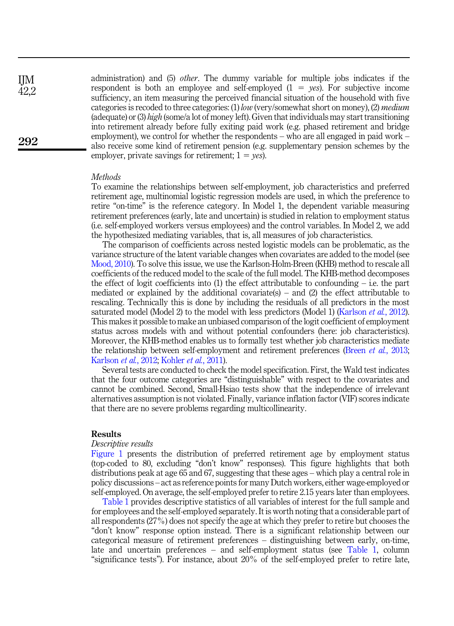administration) and (5) other. The dummy variable for multiple jobs indicates if the respondent is both an employee and self-employed  $(1 = yes)$ . For subjective income sufficiency, an item measuring the perceived financial situation of the household with five categories is recoded to three categories: (1) low (very/somewhat short on money), (2) medium (adequate) or (3) high (some/a lot of money left). Given that individuals may start transitioning into retirement already before fully exiting paid work (e.g. phased retirement and bridge employment), we control for whether the respondents – who are all engaged in paid work – also receive some kind of retirement pension (e.g. supplementary pension schemes by the employer, private savings for retirement;  $1 = yes$ ).

#### **Methods**

To examine the relationships between self-employment, job characteristics and preferred retirement age, multinomial logistic regression models are used, in which the preference to retire "on-time" is the reference category. In Model 1, the dependent variable measuring retirement preferences (early, late and uncertain) is studied in relation to employment status (i.e. self-employed workers versus employees) and the control variables. In Model 2, we add the hypothesized mediating variables, that is, all measures of job characteristics.

The comparison of coefficients across nested logistic models can be problematic, as the variance structure of the latent variable changes when covariates are added to the model (see [Mood, 2010](#page-17-14)). To solve this issue, we use the Karlson-Holm-Breen (KHB) method to rescale all coefficients of the reduced model to the scale of the full model. The KHB-method decomposes the effect of logit coefficients into  $(1)$  the effect attributable to confounding – i.e. the part mediated or explained by the additional covariate(s) – and  $(2)$  the effect attributable to rescaling. Technically this is done by including the residuals of all predictors in the most saturated model (Model 2) to the model with less predictors (Model 1) ([Karlson](#page-16-13) *et al.*, 2012). This makes it possible to make an unbiased comparison of the logit coefficient of employment status across models with and without potential confounders (here: job characteristics). Moreover, the KHB-method enables us to formally test whether job characteristics mediate the relationship between self-employment and retirement preferences (Breen *et al.*[, 2013](#page-15-9); [Karlson](#page-16-13) et al., 2012; [Kohler](#page-16-14) et al., 2011).

Several tests are conducted to check the model specification. First, the Wald test indicates that the four outcome categories are "distinguishable" with respect to the covariates and cannot be combined. Second, Small-Hsiao tests show that the independence of irrelevant alternatives assumption is not violated. Finally, variance inflation factor (VIF) scores indicate that there are no severe problems regarding multicollinearity.

#### Results

#### Descriptive results

[Figure 1](#page-8-0) presents the distribution of preferred retirement age by employment status (top-coded to 80, excluding "don't know" responses). This figure highlights that both distributions peak at age 65 and 67, suggesting that these ages – which play a central role in policy discussions – act as reference points for many Dutch workers, either wage-employed or self-employed. On average, the self-employed prefer to retire 2.15 years later than employees.

[Table 1](#page-9-0) provides descriptive statistics of all variables of interest for the full sample and for employees and the self-employed separately. It is worth noting that a considerable part of all respondents (27%) does not specify the age at which they prefer to retire but chooses the "don't know" response option instead. There is a significant relationship between our categorical measure of retirement preferences – distinguishing between early, on-time, late and uncertain preferences – and self-employment status (see [Table 1](#page-9-0), column "significance tests"). For instance, about 20% of the self-employed prefer to retire late,

42,2

292

IJM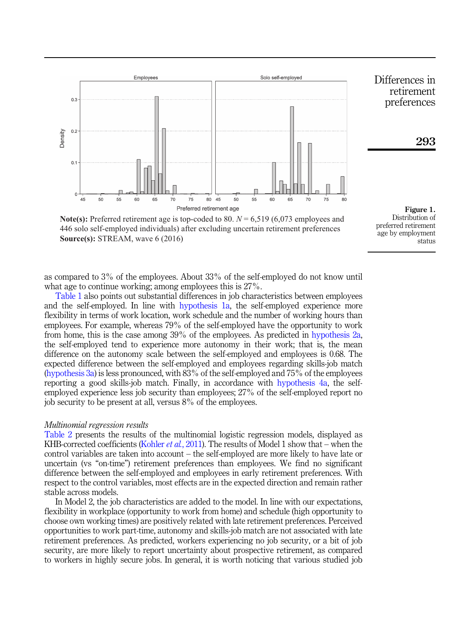<span id="page-8-0"></span>

**Note(s):** Preferred retirement age is top-coded to 80. *N* = 6,519 (6,073 employees and 446 solo self-employed individuals) after excluding uncertain retirement preferences **Source(s):** STREAM, wave 6 (2016)

Figure 1. Distribution of preferred retirement age by employment status

as compared to 3% of the employees. About 33% of the self-employed do not know until what age to continue working; among employees this is 27%.

[Table 1](#page-9-0) also points out substantial differences in job characteristics between employees and the self-employed. In line with [hypothesis 1a,](#page-4-0) the self-employed experience more flexibility in terms of work location, work schedule and the number of working hours than employees. For example, whereas 79% of the self-employed have the opportunity to work from home, this is the case among 39% of the employees. As predicted in [hypothesis 2a](#page-4-1), the self-employed tend to experience more autonomy in their work; that is, the mean difference on the autonomy scale between the self-employed and employees is 0.68. The expected difference between the self-employed and employees regarding skills-job match ([hypothesis 3a\)](#page-5-0) is less pronounced, with 83% of the self-employed and 75% of the employees reporting a good skills-job match. Finally, in accordance with [hypothesis 4a,](#page-5-1) the selfemployed experience less job security than employees; 27% of the self-employed report no job security to be present at all, versus 8% of the employees.

#### Multinomial regression results

[Table 2](#page-10-0) presents the results of the multinomial logistic regression models, displayed as KHB-corrected coefficients [\(Kohler](#page-16-14) *et al.*, 2011). The results of Model 1 show that – when the control variables are taken into account – the self-employed are more likely to have late or uncertain (vs "on-time") retirement preferences than employees. We find no significant difference between the self-employed and employees in early retirement preferences. With respect to the control variables, most effects are in the expected direction and remain rather stable across models.

In Model 2, the job characteristics are added to the model. In line with our expectations, flexibility in workplace (opportunity to work from home) and schedule (high opportunity to choose own working times) are positively related with late retirement preferences. Perceived opportunities to work part-time, autonomy and skills-job match are not associated with late retirement preferences. As predicted, workers experiencing no job security, or a bit of job security, are more likely to report uncertainty about prospective retirement, as compared to workers in highly secure jobs. In general, it is worth noticing that various studied job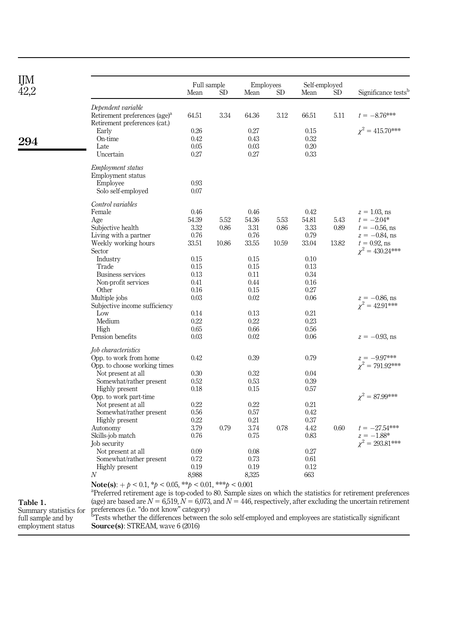<span id="page-9-0"></span>IJM 42,2

| TI 17 |                                                                                                                           | Full sample |       |       | <b>Employees</b> |       | Self-employed |                                 |
|-------|---------------------------------------------------------------------------------------------------------------------------|-------------|-------|-------|------------------|-------|---------------|---------------------------------|
| 42,2  |                                                                                                                           | Mean        | SD    | Mean  | SD               | Mean  | SD            | Significance tests <sup>t</sup> |
|       | Dependent variable                                                                                                        |             |       |       |                  |       |               |                                 |
|       | Retirement preferences (age) <sup>a</sup><br>Retirement preferences (cat.)                                                | 64.51       | 3.34  | 64.36 | 3.12             | 66.51 | 5.11          | $t = -8.76***$                  |
|       | Early                                                                                                                     | 0.26        |       | 0.27  |                  | 0.15  |               | $\chi^2 = 415.70$ ***           |
| 294   | On-time                                                                                                                   | 0.42        |       | 0.43  |                  | 0.32  |               |                                 |
|       | Late                                                                                                                      | 0.05        |       | 0.03  |                  | 0.20  |               |                                 |
|       | Uncertain                                                                                                                 | 0.27        |       | 0.27  |                  | 0.33  |               |                                 |
|       | Employment status                                                                                                         |             |       |       |                  |       |               |                                 |
|       | Employment status                                                                                                         | 0.93        |       |       |                  |       |               |                                 |
|       | Employee                                                                                                                  |             |       |       |                  |       |               |                                 |
|       | Solo self-employed                                                                                                        | 0.07        |       |       |                  |       |               |                                 |
|       | Control variables                                                                                                         |             |       |       |                  |       |               |                                 |
|       | Female                                                                                                                    | 0.46        |       | 0.46  |                  | 0.42  |               | $z = 1.03$ , ns                 |
|       | Age                                                                                                                       | 54.39       | 5.52  | 54.36 | 5.53             | 54.81 | 5.43          | $t = -2.04*$                    |
|       | Subjective health                                                                                                         | 3.32        | 0.86  | 3.31  | 0.86             | 3.33  | 0.89          | $t = -0.56$ , ns                |
|       | Living with a partner                                                                                                     | 0.76        |       | 0.76  |                  | 0.79  |               | $z = -0.84$ , ns                |
|       | Weekly working hours                                                                                                      | 33.51       | 10.86 | 33.55 | 10.59            | 33.04 | 13.82         | $t = 0.92$ , ns                 |
|       | Sector                                                                                                                    |             |       |       |                  |       |               | $\gamma^2 = 430.24***$          |
|       | Industry                                                                                                                  | 0.15        |       | 0.15  |                  | 0.10  |               |                                 |
|       | Trade                                                                                                                     | 0.15        |       | 0.15  |                  | 0.13  |               |                                 |
|       | Business services                                                                                                         | 0.13        |       | 0.11  |                  | 0.34  |               |                                 |
|       | Non-profit services                                                                                                       | 0.41        |       | 0.44  |                  | 0.16  |               |                                 |
|       | Other                                                                                                                     | 0.16        |       | 0.15  |                  | 0.27  |               |                                 |
|       | Multiple jobs                                                                                                             | 0.03        |       | 0.02  |                  | 0.06  |               | $z = -0.86$ , ns                |
|       | Subjective income sufficiency                                                                                             |             |       |       |                  |       |               | $\gamma^2 = 42.91***$           |
|       | Low                                                                                                                       | 0.14        |       | 0.13  |                  | 0.21  |               |                                 |
|       | Medium                                                                                                                    | 0.22        |       | 0.22  |                  | 0.23  |               |                                 |
|       | High                                                                                                                      | 0.65        |       | 0.66  |                  | 0.56  |               |                                 |
|       | Pension benefits                                                                                                          | 0.03        |       | 0.02  |                  | 0.06  |               | $z = -0.93$ , ns                |
|       | Job characteristics                                                                                                       |             |       |       |                  |       |               |                                 |
|       | Opp. to work from home                                                                                                    | 0.42        |       | 0.39  |                  | 0.79  |               | $z = -9.97***$                  |
|       | Opp. to choose working times                                                                                              |             |       |       |                  |       |               | $\chi^2 = 791.92***$            |
|       | Not present at all                                                                                                        | 0.30        |       | 0.32  |                  | 0.04  |               |                                 |
|       | Somewhat/rather present                                                                                                   | 0.52        |       | 0.53  |                  | 0.39  |               |                                 |
|       | Highly present                                                                                                            | 0.18        |       | 0.15  |                  | 0.57  |               |                                 |
|       | Opp. to work part-time                                                                                                    |             |       |       |                  |       |               | $\chi^2 = 87.99$ ***            |
|       | Not present at all                                                                                                        | 0.22        |       | 0.22  |                  | 0.21  |               |                                 |
|       | Somewhat/rather present                                                                                                   | 0.56        |       | 0.57  |                  | 0.42  |               |                                 |
|       | Highly present                                                                                                            | 0.22        |       | 0.21  |                  | 0.37  |               |                                 |
|       | Autonomy                                                                                                                  | 3.79        | 0.79  | 3.74  | 0.78             | 4.42  | 0.60          | $t = -27.54***$                 |
|       | Skills-job match                                                                                                          | 0.76        |       | 0.75  |                  | 0.83  |               | $z = -1.88*$                    |
|       | Job security                                                                                                              |             |       |       |                  |       |               | $\chi^2 = 293.81***$            |
|       | Not present at all                                                                                                        | 0.09        |       | 0.08  |                  | 0.27  |               |                                 |
|       | Somewhat/rather present                                                                                                   | 0.72        |       | 0.73  |                  | 0.61  |               |                                 |
|       | Highly present                                                                                                            | 0.19        |       | 0.19  |                  | 0.12  |               |                                 |
|       | N                                                                                                                         | 8,988       |       | 8,325 |                  | 663   |               |                                 |
|       | <b>Note(s):</b> + $p < 0.1$ , * $p < 0.05$ , ** $p < 0.01$ , *** $p < 0.001$                                              |             |       |       |                  |       |               |                                 |
|       | <sup>a</sup> Preferred retirement age is top-coded to 80. Sample sizes on which the statistics for retirement preferences |             |       |       |                  |       |               |                                 |

Table 1.

Summary statistics for full sample and by employment status

Preferred retirement age is top-coded to 80. Sample sizes on which the statistics for retirement preferences (age) are based are  $N = 6,519$ ,  $N = 6,073$ , and  $N = 446$ , respectively, after excluding the uncertain retirement preferences (i.e. "do not know" category)<br><sup>b</sup>Tests whether the differences between the solo self-employed and employees are statistically significant Source(s): STREAM, wave 6 (2016)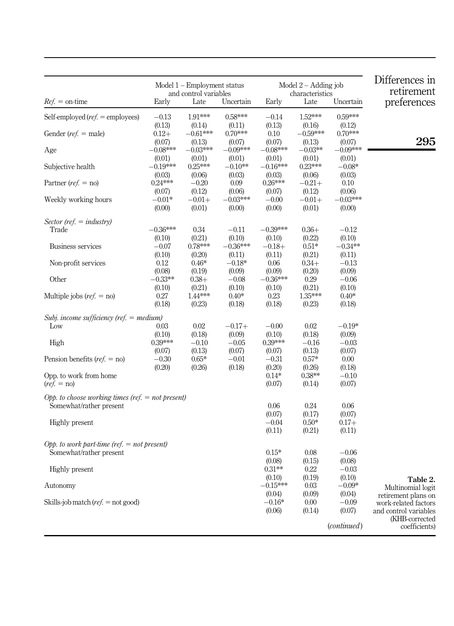<span id="page-10-0"></span>

|                                                                                |                                 | Model $1 -$ Employment status<br>and control variables |                                 |                                   | Model $2 -$ Adding job<br>characteristics |                                 | Differences in<br>retirement                                         |
|--------------------------------------------------------------------------------|---------------------------------|--------------------------------------------------------|---------------------------------|-----------------------------------|-------------------------------------------|---------------------------------|----------------------------------------------------------------------|
| $Ref. =$ on-time                                                               | Early                           | Late                                                   | Uncertain                       | Early                             | Late                                      | Uncertain                       | preferences                                                          |
| Self-employed ( $ref.$ = employees)                                            | $-0.13$                         | 1.91***                                                | $0.58***$                       | $-0.14$                           | 1.52***                                   | $0.59***$                       |                                                                      |
| Gender ( $ref.$ = male)                                                        | (0.13)<br>$0.12+$               | (0.14)<br>$-0.61***$                                   | (0.11)<br>$0.70***$             | (0.13)<br>0.10                    | (0.16)<br>$-0.59***$                      | (0.12)<br>$0.70***$             | 295                                                                  |
| Age                                                                            | (0.07)<br>$-0.08***$            | (0.13)<br>$-0.03***$                                   | (0.07)<br>$-0.09***$            | (0.07)<br>$-0.08***$              | (0.13)<br>$-0.03**$                       | (0.07)<br>$-0.09***$            |                                                                      |
| Subjective health                                                              | (0.01)<br>$-0.19***$            | (0.01)<br>$0.25***$                                    | (0.01)<br>$-0.10**$             | (0.01)<br>$-0.16***$              | (0.01)<br>$0.23***$                       | (0.01)<br>$-0.08*$              |                                                                      |
| Partner ( $ref. = no$ )                                                        | (0.03)<br>$0.24***$<br>(0.07)   | (0.06)<br>$-0.20$<br>(0.12)                            | (0.03)<br>0.09<br>(0.06)        | (0.03)<br>$0.26***$<br>(0.07)     | (0.06)<br>$-0.21+$<br>(0.12)              | (0.03)<br>0.10<br>(0.06)        |                                                                      |
| Weekly working hours                                                           | $-0.01*$<br>(0.00)              | $-0.01 +$<br>(0.01)                                    | $-0.03***$<br>(0.00)            | $-0.00$<br>(0.00)                 | $-0.01 +$<br>(0.01)                       | $-0.03***$<br>(0.00)            |                                                                      |
| Sector (ref. $=$ industry)                                                     |                                 |                                                        |                                 |                                   |                                           |                                 |                                                                      |
| Trade<br>Business services                                                     | $-0.36***$<br>(0.10)<br>$-0.07$ | 0.34<br>(0.21)<br>0.78***                              | $-0.11$<br>(0.10)<br>$-0.36***$ | $-0.39***$<br>(0.10)<br>$-0.18 +$ | $0.36+$<br>(0.22)<br>$0.51*$              | $-0.12$<br>(0.10)<br>$-0.34***$ |                                                                      |
| Non-profit services                                                            | (0.10)<br>0.12<br>(0.08)        | (0.20)<br>$0.46*$<br>(0.19)                            | (0.11)<br>$-0.18*$<br>(0.09)    | (0.11)<br>0.06<br>(0.09)          | (0.21)<br>$0.34+$<br>(0.20)               | (0.11)<br>$-0.13$<br>(0.09)     |                                                                      |
| Other                                                                          | $-0.33***$<br>(0.10)            | $0.38+$<br>(0.21)                                      | $-0.08$<br>(0.10)               | $-0.36***$<br>(0.10)              | 0.29<br>(0.21)                            | $-0.06$<br>(0.10)               |                                                                      |
| Multiple jobs ( $ref. = no$ )                                                  | 0.27<br>(0.18)                  | 1.44***<br>(0.23)                                      | $0.40*$<br>(0.18)               | 0.23<br>(0.18)                    | 1.35***<br>(0.23)                         | $0.40*$<br>(0.18)               |                                                                      |
| Subj. income sufficiency (ref. $=$ medium)                                     |                                 |                                                        |                                 |                                   |                                           |                                 |                                                                      |
| Low                                                                            | 0.03<br>(0.10)                  | 0.02<br>(0.18)                                         | $-0.17+$<br>(0.09)              | $-0.00$<br>(0.10)                 | 0.02<br>(0.18)                            | $-0.19*$<br>(0.09)              |                                                                      |
| High                                                                           | 0.39***<br>(0.07)               | $-0.10$<br>(0.13)                                      | $-0.05$<br>(0.07)               | $0.39***$<br>(0.07)               | $-0.16$<br>(0.13)                         | $-0.03$<br>(0.07)               |                                                                      |
| Pension benefits ( $ref. = no$ )                                               | $-0.30$<br>(0.20)               | $0.65*$<br>(0.26)                                      | $-0.01$<br>(0.18)               | $-0.31$<br>(0.20)                 | $0.57\mathrm{*}$<br>(0.26)                | 0.00<br>(0.18)                  |                                                                      |
| Opp. to work from home<br>$(ref. = no)$                                        |                                 |                                                        |                                 | $0.14*$<br>(0.07)                 | $0.38**$<br>(0.14)                        | $-0.10$<br>(0.07)               |                                                                      |
| Opp. to choose working times (ref. $=$ not present)<br>Somewhat/rather present |                                 |                                                        |                                 | 0.06                              | 0.24                                      | 0.06                            |                                                                      |
| <b>Highly</b> present                                                          |                                 |                                                        |                                 | (0.07)<br>$-0.04$<br>(0.11)       | (0.17)<br>$0.50*$<br>(0.21)               | (0.07)<br>$0.17+$<br>(0.11)     |                                                                      |
| Opp. to work part-time (ref. $=$ not present)<br>Somewhat/rather present       |                                 |                                                        |                                 | $0.15*$                           | 0.08                                      | $-0.06$                         |                                                                      |
| <b>Highly</b> present                                                          |                                 |                                                        |                                 | (0.08)<br>$0.31**$                | (0.15)<br>0.22                            | (0.08)<br>$-0.03$               |                                                                      |
| Autonomy                                                                       |                                 |                                                        |                                 | (0.10)<br>$-0.15***$              | (0.19)<br>0.03                            | (0.10)<br>$-0.09*$              | Table 2.<br>Multinomial logit                                        |
| Skills-job match ( $ref.$ = not good)                                          |                                 |                                                        |                                 | (0.04)<br>$-0.16*$<br>(0.06)      | (0.09)<br>0.00<br>(0.14)                  | (0.04)<br>$-0.09$<br>(0.07)     | retirement plans on<br>work-related factors<br>and control variables |
|                                                                                |                                 |                                                        |                                 |                                   |                                           | ( <i>continued</i> )            | (KHB-corrected<br>coefficients)                                      |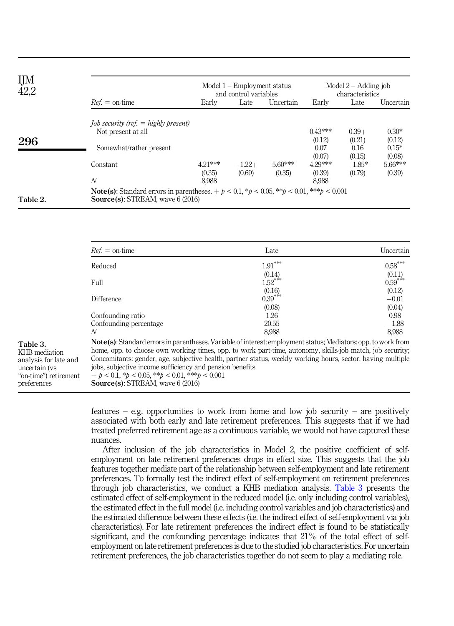| IJM<br>42,2 |                                                                                                                                            |                            | Model $1 -$ Employment status<br>and control variables |                     | Model $2 -$ Adding job<br>characteristics |                                     |                                        |  |
|-------------|--------------------------------------------------------------------------------------------------------------------------------------------|----------------------------|--------------------------------------------------------|---------------------|-------------------------------------------|-------------------------------------|----------------------------------------|--|
|             | $Ref. = on-time$                                                                                                                           | Early                      | Late                                                   | Uncertain           | Early                                     | Late                                | Uncertain                              |  |
| 296         | <i>Iob security (ref. <math>=</math> highly present)</i><br>Not present at all<br>Somewhat/rather present                                  |                            |                                                        |                     | $0.43***$<br>(0.12)<br>0.07<br>(0.07)     | $0.39+$<br>(0.21)<br>0.16<br>(0.15) | $0.30*$<br>(0.12)<br>$0.15*$<br>(0.08) |  |
|             | Constant<br>$\boldsymbol{N}$                                                                                                               | 4.21***<br>(0.35)<br>8.988 | $-1.22+$<br>(0.69)                                     | $5.60***$<br>(0.35) | 4.29***<br>(0.39)<br>8.988                | $-1.85*$<br>(0.79)                  | 5.66***<br>(0.39)                      |  |
| Table 2.    | <b>Note(s):</b> Standard errors in parentheses. $+ p < 0.1, *p < 0.05, **p < 0.01, **p < 0.001$<br><b>Source(s): STREAM, wave 6 (2016)</b> |                            |                                                        |                     |                                           |                                     |                                        |  |

| $Ref =$ on-time                                                                                                                                                                                                                                                                                                                                                                                                                                                                    | Late                                                               | Uncertain                  |  |
|------------------------------------------------------------------------------------------------------------------------------------------------------------------------------------------------------------------------------------------------------------------------------------------------------------------------------------------------------------------------------------------------------------------------------------------------------------------------------------|--------------------------------------------------------------------|----------------------------|--|
| Reduced                                                                                                                                                                                                                                                                                                                                                                                                                                                                            | $1.91***$                                                          | $0.58***$                  |  |
| Full                                                                                                                                                                                                                                                                                                                                                                                                                                                                               | $(0.14)$<br>1.52 <sup>***</sup>                                    | $\mathbf{0.11} \\ 0.59***$ |  |
| Difference                                                                                                                                                                                                                                                                                                                                                                                                                                                                         | (0.16)<br>$0.39***$                                                | (0.12)<br>$-0.01$          |  |
|                                                                                                                                                                                                                                                                                                                                                                                                                                                                                    | (0.08)<br>1.26                                                     | (0.04)<br>0.98             |  |
| Confounding percentage                                                                                                                                                                                                                                                                                                                                                                                                                                                             | 20.55                                                              | $-1.88$<br>8.988           |  |
| Note(s): Standard errors in parentheses. Variable of interest: employment status; Mediators: opp. to work from<br>home, opp. to choose own working times, opp. to work part-time, autonomy, skills-job match, job security.<br>Concomitants: gender, age, subjective health, partner status, weekly working hours, sector, having multiple<br>jobs, subjective income sufficiency and pension benefits<br>$+ b < 0.1, *b < 0.05, **b < 0.01, **b < 0.001$<br>"on-time") retirement |                                                                    |                            |  |
|                                                                                                                                                                                                                                                                                                                                                                                                                                                                                    | Confounding ratio<br>N<br><b>Source(s):</b> STREAM, wave $6(2016)$ | 8.988                      |  |

features – e.g. opportunities to work from home and low job security – are positively associated with both early and late retirement preferences. This suggests that if we had treated preferred retirement age as a continuous variable, we would not have captured these nuances.

After inclusion of the job characteristics in Model 2, the positive coefficient of selfemployment on late retirement preferences drops in effect size. This suggests that the job features together mediate part of the relationship between self-employment and late retirement preferences. To formally test the indirect effect of self-employment on retirement preferences through job characteristics, we conduct a KHB mediation analysis. Table 3 presents the estimated effect of self-employment in the reduced model (i.e. only including control variables), the estimated effect in the full model (i.e. including control variables and job characteristics) and the estimated difference between these effects (i.e. the indirect effect of self-employment via job characteristics). For late retirement preferences the indirect effect is found to be statistically significant, and the confounding percentage indicates that 21% of the total effect of selfemployment on late retirement preferences is due to the studied job characteristics. For uncertain retirement preferences, the job characteristics together do not seem to play a mediating role.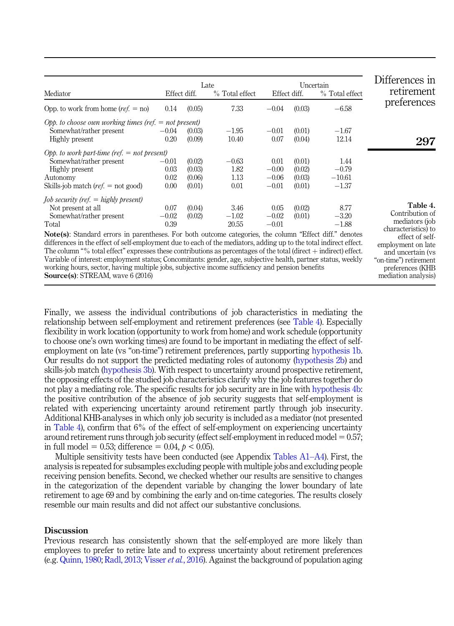|                                                                                                                                                                                                                              |              |        | Late           |              | Uncertain |                | Differences in                                                      |
|------------------------------------------------------------------------------------------------------------------------------------------------------------------------------------------------------------------------------|--------------|--------|----------------|--------------|-----------|----------------|---------------------------------------------------------------------|
| Mediator                                                                                                                                                                                                                     | Effect diff. |        | % Total effect | Effect diff. |           | % Total effect | retirement                                                          |
| Opp. to work from home $(ref. = no)$                                                                                                                                                                                         | 0.14         | (0.05) | 7.33           | $-0.04$      | (0.03)    | $-6.58$        | preferences                                                         |
| Opp. to choose own working times (ref. $=$ not present)                                                                                                                                                                      |              |        |                |              |           |                |                                                                     |
| Somewhat/rather present                                                                                                                                                                                                      | $-0.04$      | (0.03) | $-1.95$        | $-0.01$      | (0.01)    | $-1.67$        |                                                                     |
| Highly present                                                                                                                                                                                                               | 0.20         | (0.09) | 10.40          | 0.07         | (0.04)    | 12.14          | 297                                                                 |
| Opp. to work part-time (ref. $=$ not present)                                                                                                                                                                                |              |        |                |              |           |                |                                                                     |
| Somewhat/rather present                                                                                                                                                                                                      | $-0.01$      | (0.02) | $-0.63$        | 0.01         | (0.01)    | 1.44           |                                                                     |
| Highly present                                                                                                                                                                                                               | 0.03         | (0.03) | 1.82           | $-0.00$      | (0.02)    | $-0.79$        |                                                                     |
| Autonomy                                                                                                                                                                                                                     | 0.02         | (0.06) | 1.13           | $-0.06$      | (0.03)    | $-10.61$       |                                                                     |
| Skills-job match ( <i>ref.</i> $=$ not good)                                                                                                                                                                                 | 0.00         | (0.01) | 0.01           | $-0.01$      | (0.01)    | $-1.37$        |                                                                     |
| <i>Job security (ref. <math>=</math> highly present)</i>                                                                                                                                                                     |              |        |                |              |           |                |                                                                     |
| Not present at all                                                                                                                                                                                                           | 0.07         | (0.04) | 3.46           | 0.05         | (0.02)    | 8.77           | Table 4.                                                            |
| Somewhat/rather present                                                                                                                                                                                                      | $-0.02$      | (0.02) | $-1.02$        | $-0.02$      | (0.01)    | $-3.20$        | Contribution of                                                     |
| Total                                                                                                                                                                                                                        | 0.39         |        | 20.55          | $-0.01$      |           | $-1.88$        | mediators (job                                                      |
| Note(s): Standard errors in parentheses. For both outcome categories, the column "Effect diff." denotes<br>differences in the effect of self employment due to each of the mediators, adding up to the total indirect effect |              |        |                |              |           |                | characteristics) to<br>effect of self-<br>$\mathbf{1}$ $\mathbf{1}$ |

effect of self-employment due to each of the mediators, adding up to the total indirect  $\epsilon$ The column "% total effect" expresses these contributions as percentages of the total (direct  $+$  indirect) effect. Variable of interest: employment status; Concomitants: gender, age, subjective health, partner status, weekly working hours, sector, having multiple jobs, subjective income sufficiency and pension benefits Source(s): STREAM, wave 6 (2016)

employment on late and uncertain (vs "on-time") retirement preferences (KHB mediation analysis)

Finally, we assess the individual contributions of job characteristics in mediating the relationship between self-employment and retirement preferences (see Table 4). Especially flexibility in work location (opportunity to work from home) and work schedule (opportunity to choose one's own working times) are found to be important in mediating the effect of selfemployment on late (vs "on-time") retirement preferences, partly supporting [hypothesis 1b](#page-4-0). Our results do not support the predicted mediating roles of autonomy [\(hypothesis 2b\)](#page-4-1) and skills-job match [\(hypothesis 3b](#page-5-0)). With respect to uncertainty around prospective retirement, the opposing effects of the studied job characteristics clarify why the job features together do not play a mediating role. The specific results for job security are in line with [hypothesis 4b](#page-5-1): the positive contribution of the absence of job security suggests that self-employment is related with experiencing uncertainty around retirement partly through job insecurity. Additional KHB-analyses in which only job security is included as a mediator (not presented in Table 4), confirm that 6% of the effect of self-employment on experiencing uncertainty around retirement runs through job security (effect self-employment in reduced model  $= 0.57$ ; in full model = 0.53; difference = 0.04,  $p < 0.05$ ).

Multiple sensitivity tests have been conducted (see Appendix [Tables A1](#page-18-0)–[A4\)](#page-18-0). First, the analysis is repeated for subsamples excluding people with multiple jobs and excluding people receiving pension benefits. Second, we checked whether our results are sensitive to changes in the categorization of the dependent variable by changing the lower boundary of late retirement to age 69 and by combining the early and on-time categories. The results closely resemble our main results and did not affect our substantive conclusions.

#### **Discussion**

Previous research has consistently shown that the self-employed are more likely than employees to prefer to retire late and to express uncertainty about retirement preferences (e.g. [Quinn, 1980;](#page-17-0) [Radl, 2013;](#page-17-1) [Visser](#page-17-2) *et al.*, 2016). Against the background of population aging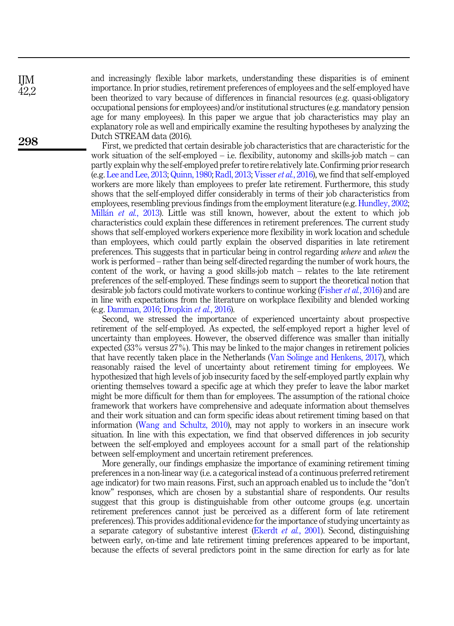and increasingly flexible labor markets, understanding these disparities is of eminent importance. In prior studies, retirement preferences of employees and the self-employed have been theorized to vary because of differences in financial resources (e.g. quasi-obligatory occupational pensions for employees) and/or institutional structures (e.g. mandatory pension age for many employees). In this paper we argue that job characteristics may play an explanatory role as well and empirically examine the resulting hypotheses by analyzing the Dutch STREAM data (2016).

First, we predicted that certain desirable job characteristics that are characteristic for the work situation of the self-employed – i.e. flexibility, autonomy and skills-job match – can partly explain why the self-employed prefer to retire relatively late. Confirming prior research (e.g. [Lee and Lee, 2013;](#page-16-1) [Quinn, 1980](#page-17-0); [Radl, 2013;](#page-17-1) [Visser](#page-17-2)et al., 2016), we find that self-employed workers are more likely than employees to prefer late retirement. Furthermore, this study shows that the self-employed differ considerably in terms of their job characteristics from employees, resembling previous findings from the employment literature (e.g. [Hundley, 2002](#page-16-4); [Mill](#page-17-5)an et al.[, 2013](#page-17-5)). Little was still known, however, about the extent to which job characteristics could explain these differences in retirement preferences. The current study shows that self-employed workers experience more flexibility in work location and schedule than employees, which could partly explain the observed disparities in late retirement preferences. This suggests that in particular being in control regarding where and when the work is performed – rather than being self-directed regarding the number of work hours, the content of the work, or having a good skills-job match – relates to the late retirement preferences of the self-employed. These findings seem to support the theoretical notion that desirable job factors could motivate workers to continue working [\(Fisher](#page-16-5) *et al.*, 2016) and are in line with expectations from the literature on workplace flexibility and blended working (e.g. [Damman, 2016](#page-16-15); [Dropkin](#page-16-16) et al., 2016).

Second, we stressed the importance of experienced uncertainty about prospective retirement of the self-employed. As expected, the self-employed report a higher level of uncertainty than employees. However, the observed difference was smaller than initially expected (33% versus 27%). This may be linked to the major changes in retirement policies that have recently taken place in the Netherlands ([Van Solinge and Henkens, 2017](#page-17-15)), which reasonably raised the level of uncertainty about retirement timing for employees. We hypothesized that high levels of job insecurity faced by the self-employed partly explain why orienting themselves toward a specific age at which they prefer to leave the labor market might be more difficult for them than for employees. The assumption of the rational choice framework that workers have comprehensive and adequate information about themselves and their work situation and can form specific ideas about retirement timing based on that information [\(Wang and Schultz, 2010](#page-17-6)), may not apply to workers in an insecure work situation. In line with this expectation, we find that observed differences in job security between the self-employed and employees account for a small part of the relationship between self-employment and uncertain retirement preferences.

More generally, our findings emphasize the importance of examining retirement timing preferences in a non-linear way (i.e. a categorical instead of a continuous preferred retirement age indicator) for two main reasons. First, such an approach enabled us to include the "don't know" responses, which are chosen by a substantial share of respondents. Our results suggest that this group is distinguishable from other outcome groups (e.g. uncertain retirement preferences cannot just be perceived as a different form of late retirement preferences). This provides additional evidence for the importance of studying uncertainty as a separate category of substantive interest ([Ekerdt](#page-16-2) *et al.*, 2001). Second, distinguishing between early, on-time and late retirement timing preferences appeared to be important, because the effects of several predictors point in the same direction for early as for late

298

IJM 42,2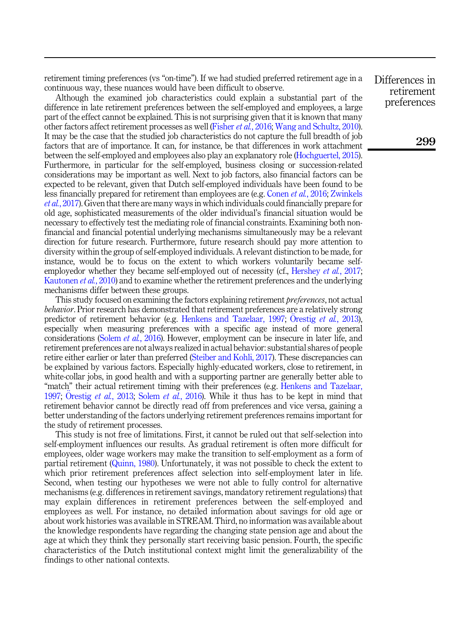retirement timing preferences (vs "on-time"). If we had studied preferred retirement age in a continuous way, these nuances would have been difficult to observe.

Although the examined job characteristics could explain a substantial part of the difference in late retirement preferences between the self-employed and employees, a large part of the effect cannot be explained. This is not surprising given that it is known that many other factors affect retirement processes as well ([Fisher](#page-16-5) et al., 2016; [Wang and Schultz, 2010\)](#page-17-6). It may be the case that the studied job characteristics do not capture the full breadth of job factors that are of importance. It can, for instance, be that differences in work attachment between the self-employed and employees also play an explanatory role ([Hochguertel, 2015\)](#page-16-3). Furthermore, in particular for the self-employed, business closing or succession-related considerations may be important as well. Next to job factors, also financial factors can be expected to be relevant, given that Dutch self-employed individuals have been found to be less financially prepared for retirement than employees are (e.g. [Conen](#page-16-8) *et al.*, 2016; [Zwinkels](#page-17-4) et al.[, 2017\)](#page-17-4). Given that there are many ways in which individuals could financially prepare for old age, sophisticated measurements of the older individual's financial situation would be necessary to effectively test the mediating role of financial constraints. Examining both nonfinancial and financial potential underlying mechanisms simultaneously may be a relevant direction for future research. Furthermore, future research should pay more attention to diversity within the group of self-employed individuals. A relevant distinction to be made, for instance, would be to focus on the extent to which workers voluntarily became self-employedor whether they became self-employed out of necessity (cf., [Hershey](#page-16-0) *et al.*, 2017; [Kautonen](#page-16-17) *et al.*, 2010) and to examine whether the retirement preferences and the underlying mechanisms differ between these groups.

This study focused on examining the factors explaining retirement *preferences*, not actual behavior. Prior research has demonstrated that retirement preferences are a relatively strong predictor of retirement behavior (e.g. [Henkens and Tazelaar, 1997;](#page-16-18) Orestig *et al.*[, 2013\)](#page-17-16), especially when measuring preferences with a specific age instead of more general considerations (Solem et al.[, 2016\)](#page-17-17). However, employment can be insecure in later life, and retirement preferences are not always realized in actual behavior: substantial shares of people retire either earlier or later than preferred ([Steiber and Kohli, 2017\)](#page-17-18). These discrepancies can be explained by various factors. Especially highly-educated workers, close to retirement, in white-collar jobs, in good health and with a supporting partner are generally better able to "match" their actual retirement timing with their preferences (e.g. [Henkens and Tazelaar,](#page-16-18) [1997;](#page-16-18) Orestig *et al.*[, 2013](#page-17-16); Solem *et al.*[, 2016](#page-17-17)). While it thus has to be kept in mind that retirement behavior cannot be directly read off from preferences and vice versa, gaining a better understanding of the factors underlying retirement preferences remains important for the study of retirement processes.

This study is not free of limitations. First, it cannot be ruled out that self-selection into self-employment influences our results. As gradual retirement is often more difficult for employees, older wage workers may make the transition to self-employment as a form of partial retirement ([Quinn, 1980](#page-17-0)). Unfortunately, it was not possible to check the extent to which prior retirement preferences affect selection into self-employment later in life. Second, when testing our hypotheses we were not able to fully control for alternative mechanisms (e.g. differences in retirement savings, mandatory retirement regulations) that may explain differences in retirement preferences between the self-employed and employees as well. For instance, no detailed information about savings for old age or about work histories was available in STREAM. Third, no information was available about the knowledge respondents have regarding the changing state pension age and about the age at which they think they personally start receiving basic pension. Fourth, the specific characteristics of the Dutch institutional context might limit the generalizability of the findings to other national contexts.

Differences in retirement preferences

299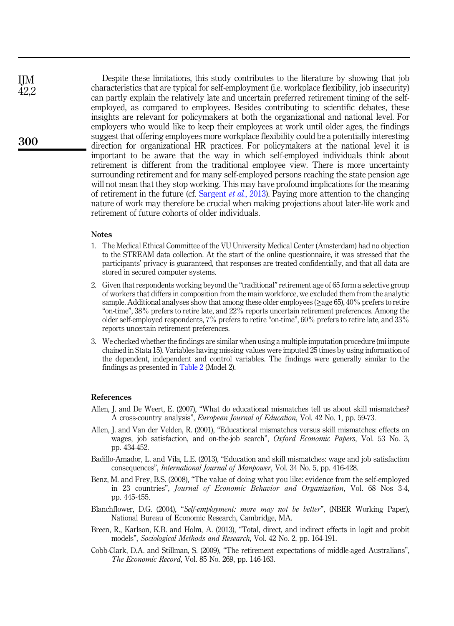Despite these limitations, this study contributes to the literature by showing that job characteristics that are typical for self-employment (i.e. workplace flexibility, job insecurity) can partly explain the relatively late and uncertain preferred retirement timing of the selfemployed, as compared to employees. Besides contributing to scientific debates, these insights are relevant for policymakers at both the organizational and national level. For employers who would like to keep their employees at work until older ages, the findings suggest that offering employees more workplace flexibility could be a potentially interesting direction for organizational HR practices. For policymakers at the national level it is important to be aware that the way in which self-employed individuals think about retirement is different from the traditional employee view. There is more uncertainty surrounding retirement and for many self-employed persons reaching the state pension age will not mean that they stop working. This may have profound implications for the meaning of retirement in the future (cf. [Sargent](#page-17-19) *et al.*, 2013). Paying more attention to the changing nature of work may therefore be crucial when making projections about later-life work and retirement of future cohorts of older individuals.

#### Notes

- <span id="page-15-6"></span>1. The Medical Ethical Committee of the VU University Medical Center (Amsterdam) had no objection to the STREAM data collection. At the start of the online questionnaire, it was stressed that the participants' privacy is guaranteed, that responses are treated confidentially, and that all data are stored in secured computer systems.
- <span id="page-15-7"></span>2. Given that respondents working beyond the "traditional"retirement age of 65 form a selective group of workers that differs in composition from the main workforce, we excluded them from the analytic sample. Additional analyses show that among these older employees (>age 65), 40% prefers to retire "on-time", 38% prefers to retire late, and 22% reports uncertain retirement preferences. Among the older self-employed respondents, 7% prefers to retire "on-time", 60% prefers to retire late, and 33% reports uncertain retirement preferences.
- <span id="page-15-8"></span>3. We checked whether the findings are similar when using a multiple imputation procedure (mi impute chained in Stata 15). Variables having missing values were imputed 25 times by using information of the dependent, independent and control variables. The findings were generally similar to the findings as presented in [Table 2](#page-10-0) (Model 2).

#### References

- <span id="page-15-3"></span>Allen, J. and De Weert, E. (2007), "What do educational mismatches tell us about skill mismatches? A cross-country analysis", European Journal of Education, Vol. 42 No. 1, pp. 59-73.
- <span id="page-15-2"></span>Allen, J. and Van der Velden, R. (2001), "Educational mismatches versus skill mismatches: effects on wages, job satisfaction, and on-the-job search", Oxford Economic Papers, Vol. 53 No. 3, pp. 434-452.
- <span id="page-15-4"></span>Badillo-Amador, L. and Vila, L.E. (2013), "Education and skill mismatches: wage and job satisfaction consequences", International Journal of Manpower, Vol. 34 No. 5, pp. 416-428.
- <span id="page-15-1"></span>Benz, M. and Frey, B.S. (2008), "The value of doing what you like: evidence from the self-employed in 23 countries", Journal of Economic Behavior and Organization, Vol. 68 Nos 3-4, pp. 445-455.
- <span id="page-15-5"></span>Blanchflower, D.G. (2004), "Self-employment: more may not be better", (NBER Working Paper), National Bureau of Economic Research, Cambridge, MA.
- <span id="page-15-9"></span>Breen, R., Karlson, K.B. and Holm, A. (2013), "Total, direct, and indirect effects in logit and probit models", Sociological Methods and Research, Vol. 42 No. 2, pp. 164-191.
- <span id="page-15-0"></span>Cobb-Clark, D.A. and Stillman, S. (2009), "The retirement expectations of middle-aged Australians", The Economic Record, Vol. 85 No. 269, pp. 146-163.

300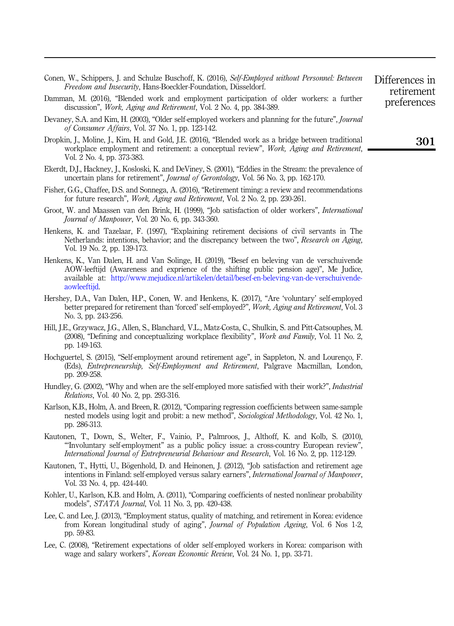<span id="page-16-18"></span><span id="page-16-16"></span><span id="page-16-15"></span><span id="page-16-12"></span><span id="page-16-11"></span><span id="page-16-10"></span><span id="page-16-8"></span><span id="page-16-5"></span><span id="page-16-2"></span>

| Conen, W., Schippers, J. and Schulze Buschoff, K. (2016), Self-Employed without Personnel: Between<br>Freedom and Insecurity, Hans-Boeckler-Foundation, Düsseldorf.                                                                                                                                       | Differences in<br>retirement |
|-----------------------------------------------------------------------------------------------------------------------------------------------------------------------------------------------------------------------------------------------------------------------------------------------------------|------------------------------|
| Damman, M. (2016), "Blended work and employment participation of older workers: a further<br>discussion", <i>Work, Aging and Retirement</i> , Vol. 2 No. 4, pp. 384-389.                                                                                                                                  | preferences                  |
| Devaney, S.A. and Kim, H. (2003), "Older self-employed workers and planning for the future", <i>Journal</i><br>of Consumer Affairs, Vol. 37 No. 1, pp. 123-142.                                                                                                                                           |                              |
| Dropkin, J., Moline, J., Kim, H. and Gold, J.E. (2016), "Blended work as a bridge between traditional<br>workplace employment and retirement: a conceptual review", Work, Aging and Retirement,<br>Vol. 2 No. 4, pp. 373-383.                                                                             | 301                          |
| Ekerdt, D.J., Hackney, J., Kosloski, K. and DeViney, S. (2001), "Eddies in the Stream: the prevalence of<br>uncertain plans for retirement", <i>Journal of Gerontology</i> , Vol. 56 No. 3, pp. 162-170.                                                                                                  |                              |
| Fisher, G.G., Chaffee, D.S. and Sonnega, A. (2016), "Retirement timing: a review and recommendations<br>for future research", Work, Aging and Retirement, Vol. 2 No. 2, pp. 230-261.                                                                                                                      |                              |
| Groot, W. and Maassen van den Brink, H. (1999), "Job satisfaction of older workers", International<br>Journal of Manpower, Vol. 20 No. 6, pp. 343-360.                                                                                                                                                    |                              |
| Henkens, K. and Tazelaar, F. (1997), "Explaining retirement decisions of civil servants in The<br>Netherlands: intentions, behavior; and the discrepancy between the two", Research on Aging,<br>Vol. 19 No. 2, pp. 139-173.                                                                              |                              |
| Henkens, K., Van Dalen, H. and Van Solinge, H. (2019), "Besef en beleving van de verschuivende<br>AOW-leeftijd (Awareness and exprience of the shifting public pension age)", Me Judice,<br>available at: http://www.mejudice.nl/artikelen/detail/besef-en-beleving-van-de-verschuivende-<br>aowleeftijd. |                              |
| Hershey, D.A., Van Dalen, H.P., Conen, W. and Henkens, K. (2017), "Are 'voluntary' self-employed<br>better prepared for retirement than 'forced' self-employed?", Work, Aging and Retirement, Vol. 3<br>No. 3, pp. 243-256.                                                                               |                              |
| Hill, J.E., Grzywacz, J.G., Allen, S., Blanchard, V.L., Matz-Costa, C., Shulkin, S. and Pitt-Catsouphes, M.<br>(2008), "Defining and conceptualizing workplace flexibility", <i>Work and Family</i> , Vol. 11 No. 2,<br>pp. 149-163.                                                                      |                              |
| Hochguertel, S. (2015), "Self-employment around retirement age", in Sappleton, N. and Lourenço, F.<br>(Eds), Entrepreneurship, Self-Employment and Retirement, Palgrave Macmillan, London,<br>pp. 209-258.                                                                                                |                              |
| Hundley, G. (2002), "Why and when are the self-employed more satisfied with their work?", <i>Industrial</i><br><i>Relations</i> , Vol. 40 No. 2, pp. 293-316.                                                                                                                                             |                              |
| Karlson, K.B., Holm, A. and Breen, R. (2012), "Comparing regression coefficients between same-sample<br>nested models using logit and probit: a new method", Sociological Methodology, Vol. 42 No. 1,<br>pp. 286-313.                                                                                     |                              |
| Kautonen, T., Down, S., Welter, F., Vainio, P., Palmroos, J., Althoff, K. and Kolb, S. (2010),<br>"Involuntary self-employment" as a public policy issue: a cross-country European review",<br><i>International Journal of Entrepreneurial Behaviour and Research, Vol. 16 No. 2, pp. 112-129.</i>        |                              |
| Kautonen, T., Hytti, U., Bögenhold, D. and Heinonen, J. (2012), "Job satisfaction and retirement age                                                                                                                                                                                                      |                              |

- <span id="page-16-17"></span><span id="page-16-13"></span><span id="page-16-9"></span><span id="page-16-7"></span><span id="page-16-4"></span><span id="page-16-3"></span><span id="page-16-0"></span>intentions in Finland: self-employed versus salary earners", International Journal of Manpower, Vol. 33 No. 4, pp. 424-440. Kohler, U., Karlson, K.B. and Holm, A. (2011), "Comparing coefficients of nested nonlinear probability
- <span id="page-16-14"></span><span id="page-16-1"></span>models", STATA Journal, Vol. 11 No. 3, pp. 420-438. Lee, C. and Lee, J. (2013), "Employment status, quality of matching, and retirement in Korea: evidence from Korean longitudinal study of aging", Journal of Population Ageing, Vol. 6 Nos 1-2, pp. 59-83.
- <span id="page-16-6"></span>Lee, C. (2008), "Retirement expectations of older self-employed workers in Korea: comparison with wage and salary workers", Korean Economic Review, Vol. 24 No. 1, pp. 33-71.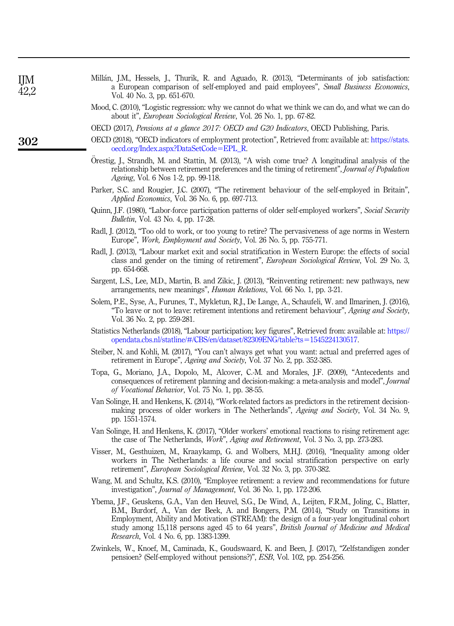<span id="page-17-5"></span>

| Millán, J.M., Hessels, J., Thurik, R. and Aguado, R. (2013), "Determinants of job satisfaction: |                             |  |  |  |  |  |  |                                                                                       |  |
|-------------------------------------------------------------------------------------------------|-----------------------------|--|--|--|--|--|--|---------------------------------------------------------------------------------------|--|
|                                                                                                 |                             |  |  |  |  |  |  | a European comparison of self-employed and paid employees", Small Business Economics, |  |
|                                                                                                 | Vol. 40 No. 3, pp. 651-670. |  |  |  |  |  |  |                                                                                       |  |

- <span id="page-17-14"></span>Mood, C. (2010), "Logistic regression: why we cannot do what we think we can do, and what we can do about it", European Sociological Review, Vol. 26 No. 1, pp. 67-82.
- <span id="page-17-9"></span>OECD (2017), Pensions at a glance 2017: OECD and G20 Indicators, OECD Publishing, Paris.
- <span id="page-17-12"></span>OECD (2018), "OECD indicators of employment protection", Retrieved from: available at: [https://stats.](https://stats.oecd.org/Index.aspx?DataSetCode=EPL_R) [oecd.org/Index.aspx?DataSetCode](https://stats.oecd.org/Index.aspx?DataSetCode=EPL_R)=[EPL\\_R](https://stats.oecd.org/Index.aspx?DataSetCode=EPL_R).
- <span id="page-17-16"></span>Orestig, J., Strandh, M. and Stattin, M. (2013), "A wish come true? A longitudinal analysis of the relationship between retirement preferences and the timing of retirement", Journal of Population Ageing, Vol. 6 Nos 1-2, pp. 99-118.
- <span id="page-17-3"></span>Parker, S.C. and Rougier, J.C. (2007), "The retirement behaviour of the self-employed in Britain", Applied Economics, Vol. 36 No. 6, pp. 697-713.
- <span id="page-17-0"></span>Quinn, J.F. (1980), "Labor-force participation patterns of older self-employed workers", Social Security Bulletin, Vol. 43 No. 4, pp. 17-28.
- <span id="page-17-13"></span>Radl, J. (2012), "Too old to work, or too young to retire? The pervasiveness of age norms in Western Europe", Work, Employment and Society, Vol. 26 No. 5, pp. 755-771.
- <span id="page-17-1"></span>Radl, J. (2013), "Labour market exit and social stratification in Western Europe: the effects of social class and gender on the timing of retirement", European Sociological Review, Vol. 29 No. 3, pp. 654-668.
- <span id="page-17-19"></span>Sargent, L.S., Lee, M.D., Martin, B. and Zikic, J. (2013), "Reinventing retirement: new pathways, new arrangements, new meanings", Human Relations, Vol. 66 No. 1, pp. 3-21.
- <span id="page-17-17"></span>Solem, P.E., Syse, A., Furunes, T., Mykletun, R.J., De Lange, A., Schaufeli, W. and Ilmarinen, J. (2016), "To leave or not to leave: retirement intentions and retirement behaviour", Ageing and Society, Vol. 36 No. 2, pp. 259-281.
- <span id="page-17-8"></span>Statistics Netherlands (2018), "Labour participation; key figures", Retrieved from: available at: [https://](https://opendata.cbs.nl/statline/#/CBS/en/dataset/82309ENG/table?ts=1545224130517) [opendata.cbs.nl/statline/#/CBS/en/dataset/82309ENG/table?ts](https://opendata.cbs.nl/statline/#/CBS/en/dataset/82309ENG/table?ts=1545224130517)=[1545224130517.](https://opendata.cbs.nl/statline/#/CBS/en/dataset/82309ENG/table?ts=1545224130517)
- <span id="page-17-18"></span>Steiber, N. and Kohli, M. (2017), "You can't always get what you want: actual and preferred ages of retirement in Europe", Ageing and Society, Vol. 37 No. 2, pp. 352-385.
- <span id="page-17-11"></span>Topa, G., Moriano, J.A., Dopolo, M., Alcover, C.-M. and Morales, J.F. (2009), "Antecedents and consequences of retirement planning and decision-making: a meta-analysis and model", Journal of Vocational Behavior, Vol. 75 No. 1, pp. 38-55.
- <span id="page-17-10"></span>Van Solinge, H. and Henkens, K. (2014), "Work-related factors as predictors in the retirement decisionmaking process of older workers in The Netherlands", Ageing and Society, Vol. 34 No. 9, pp. 1551-1574.
- <span id="page-17-15"></span>Van Solinge, H. and Henkens, K. (2017), "Older workers' emotional reactions to rising retirement age: the case of The Netherlands, Work", Aging and Retirement, Vol. 3 No. 3, pp. 273-283.
- <span id="page-17-2"></span>Visser, M., Gesthuizen, M., Kraaykamp, G. and Wolbers, M.H.J. (2016), "Inequality among older workers in The Netherlands: a life course and social stratification perspective on early retirement", European Sociological Review, Vol. 32 No. 3, pp. 370-382.
- <span id="page-17-6"></span>Wang, M. and Schultz, K.S. (2010), "Employee retirement: a review and recommendations for future investigation", Journal of Management, Vol. 36 No. 1, pp. 172-206.
- <span id="page-17-7"></span>Ybema, J.F., Geuskens, G.A., Van den Heuvel, S.G., De Wind, A., Leijten, F.R.M., Joling, C., Blatter, B.M., Burdorf, A., Van der Beek, A. and Bongers, P.M. (2014), "Study on Transitions in Employment, Ability and Motivation (STREAM): the design of a four-year longitudinal cohort study among 15,118 persons aged 45 to 64 years", British Journal of Medicine and Medical Research, Vol. 4 No. 6, pp. 1383-1399.
- <span id="page-17-4"></span>Zwinkels, W., Knoef, M., Caminada, K., Goudswaard, K. and Been, J. (2017), "Zelfstandigen zonder pensioen? (Self-employed without pensions?)", ESB, Vol. 102, pp. 254-256.

IJM 42,2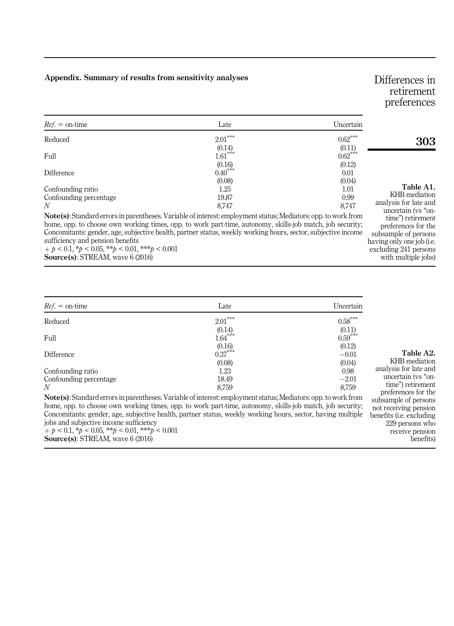### <span id="page-18-0"></span>Appendix. Summary of results from sensitivity analyses

# Differences in retirement preferences

preferences for the subsample of persons having only one job (i.e. excluding 241 persons with multiple jobs)

| $Ref =$ on-time             | Late                                                                                                           | Uncertain           |                                                              |  |  |  |  |  |
|-----------------------------|----------------------------------------------------------------------------------------------------------------|---------------------|--------------------------------------------------------------|--|--|--|--|--|
| Reduced                     | $2.01***$                                                                                                      | $0.62***$           | 303                                                          |  |  |  |  |  |
| Full                        | (0.14)<br>$1.61***$                                                                                            | (0.11)<br>$0.62***$ |                                                              |  |  |  |  |  |
| Difference                  | (0.16)<br>$0.40***$                                                                                            | (0.12)<br>0.01      |                                                              |  |  |  |  |  |
| Confounding ratio           | (0.08)<br>1.25                                                                                                 | (0.04)<br>$1.01\,$  | Table A1.                                                    |  |  |  |  |  |
| Confounding percentage<br>N | 19.87<br>8.747                                                                                                 | 0.99<br>8.747       | KHB mediation<br>analysis for late and<br>uncertain (vs "on- |  |  |  |  |  |
|                             | Note(s): Standard errors in parentheses. Variable of interest: employment status; Mediators: opp. to work from |                     |                                                              |  |  |  |  |  |

home, opp. to choose own working times, opp. to work part-time, autonomy, skills-job match, job security; Concomitants: gender, age, subjective health, partner status, weekly working hours, sector, subjective income sufficiency and pension benefits  $+p < 0.1, *p < 0.05, **p < 0.01, **p < 0.001$ 

Source(s): STREAM, wave 6 (2016)

| $Ref. = on-time$       | Late                                                                                                           | Uncertain             |                       |
|------------------------|----------------------------------------------------------------------------------------------------------------|-----------------------|-----------------------|
| Reduced                | $2.01***$                                                                                                      | $0.58^{\ast\ast\ast}$ |                       |
| Full                   | $(0.14)$<br>1.64***                                                                                            | (0.11)<br>$0.59***$   |                       |
|                        | (0.16)                                                                                                         | (0.12)                |                       |
| Difference             | $0.37***$                                                                                                      | $-0.01$               | T.<br>$KHB_1$         |
| Confounding ratio      | (0.08)<br>1.23                                                                                                 | (0.04)<br>0.98        | analysis for          |
| Confounding percentage | 18.49                                                                                                          | $-2.01$               | uncertai              |
| N                      | 8.759                                                                                                          | 8,759                 | time") r<br>preferenc |
|                        | Note(s): Standard errors in parentheses. Variable of interest: employment status; Mediators: opp. to work from |                       | subsample o           |

home, opp. to choose own working times, opp. to work part-time, autonomy, skills-job match, job security; Concomitants: gender, age, subjective health, partner status, weekly working hours, sector, having multiple jobs and subjective income sufficiency

 $p + p < 0.1$ ,  $\gamma p < 0.05$ ,  $\gamma p < 0.01$ ,  $\gamma p < 0.001$ Source(s): STREAM, wave 6 (2016)

able A2.

mediation or late and in (vs "onetirement es for the of persons not receiving pension benefits (i.e. excluding 229 persons who receive pension benefits)